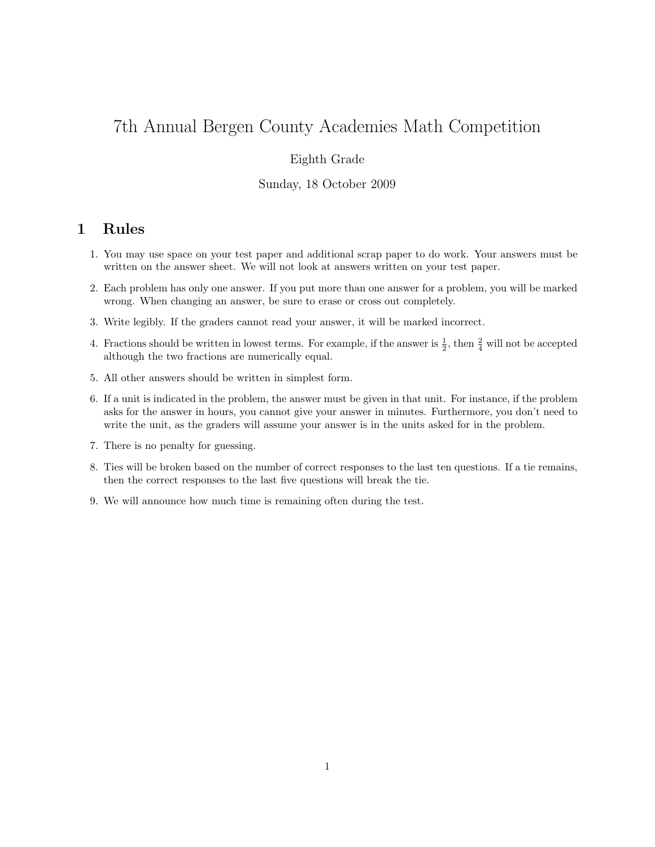# 7th Annual Bergen County Academies Math Competition

## Eighth Grade

#### Sunday, 18 October 2009

# 1 Rules

- 1. You may use space on your test paper and additional scrap paper to do work. Your answers must be written on the answer sheet. We will not look at answers written on your test paper.
- 2. Each problem has only one answer. If you put more than one answer for a problem, you will be marked wrong. When changing an answer, be sure to erase or cross out completely.
- 3. Write legibly. If the graders cannot read your answer, it will be marked incorrect.
- 4. Fractions should be written in lowest terms. For example, if the answer is  $\frac{1}{2}$ , then  $\frac{2}{4}$  will not be accepted although the two fractions are numerically equal.
- 5. All other answers should be written in simplest form.
- 6. If a unit is indicated in the problem, the answer must be given in that unit. For instance, if the problem asks for the answer in hours, you cannot give your answer in minutes. Furthermore, you don't need to write the unit, as the graders will assume your answer is in the units asked for in the problem.
- 7. There is no penalty for guessing.
- 8. Ties will be broken based on the number of correct responses to the last ten questions. If a tie remains, then the correct responses to the last five questions will break the tie.
- 9. We will announce how much time is remaining often during the test.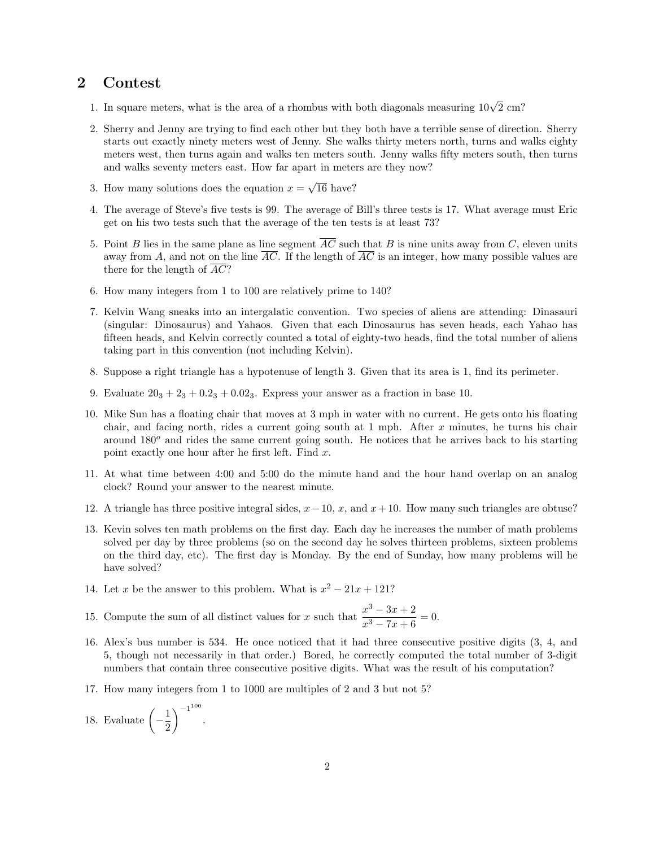## 2 Contest

- 1. In square meters, what is the area of a rhombus with both diagonals measuring  $10\sqrt{2}$  cm?
- 2. Sherry and Jenny are trying to find each other but they both have a terrible sense of direction. Sherry starts out exactly ninety meters west of Jenny. She walks thirty meters north, turns and walks eighty meters west, then turns again and walks ten meters south. Jenny walks fifty meters south, then turns and walks seventy meters east. How far apart in meters are they now?
- 3. How many solutions does the equation  $x =$ √ 16 have?
- 4. The average of Steve's five tests is 99. The average of Bill's three tests is 17. What average must Eric get on his two tests such that the average of the ten tests is at least 73?
- 5. Point B lies in the same plane as line segment  $\overline{AC}$  such that B is nine units away from C, eleven units away from A, and not on the line  $\overline{AC}$ . If the length of  $\overline{AC}$  is an integer, how many possible values are there for the length of  $\overline{AC}$ ?
- 6. How many integers from 1 to 100 are relatively prime to 140?
- 7. Kelvin Wang sneaks into an intergalatic convention. Two species of aliens are attending: Dinasauri (singular: Dinosaurus) and Yahaos. Given that each Dinosaurus has seven heads, each Yahao has fifteen heads, and Kelvin correctly counted a total of eighty-two heads, find the total number of aliens taking part in this convention (not including Kelvin).
- 8. Suppose a right triangle has a hypotenuse of length 3. Given that its area is 1, find its perimeter.
- 9. Evaluate  $20_3 + 2_3 + 0.2_3 + 0.02_3$ . Express your answer as a fraction in base 10.
- 10. Mike Sun has a floating chair that moves at 3 mph in water with no current. He gets onto his floating chair, and facing north, rides a current going south at  $1$  mph. After  $x$  minutes, he turns his chair around  $180^{\circ}$  and rides the same current going south. He notices that he arrives back to his starting point exactly one hour after he first left. Find  $x$ .
- 11. At what time between 4:00 and 5:00 do the minute hand and the hour hand overlap on an analog clock? Round your answer to the nearest minute.
- 12. A triangle has three positive integral sides,  $x-10$ , x, and  $x+10$ . How many such triangles are obtuse?
- 13. Kevin solves ten math problems on the first day. Each day he increases the number of math problems solved per day by three problems (so on the second day he solves thirteen problems, sixteen problems on the third day, etc). The first day is Monday. By the end of Sunday, how many problems will he have solved?
- 14. Let x be the answer to this problem. What is  $x^2 21x + 121$ ?
- 15. Compute the sum of all distinct values for x such that  $\frac{x^3 3x + 2}{x^3 5x + 6}$  $\frac{x}{x^3 - 7x + 6} = 0.$
- 16. Alex's bus number is 534. He once noticed that it had three consecutive positive digits (3, 4, and 5, though not necessarily in that order.) Bored, he correctly computed the total number of 3-digit numbers that contain three consecutive positive digits. What was the result of his computation?
- 17. How many integers from 1 to 1000 are multiples of 2 and 3 but not 5?
- 18. Evaluate  $\left(-\frac{1}{2}\right)$ 2  $\bigwedge -1^{100}$ .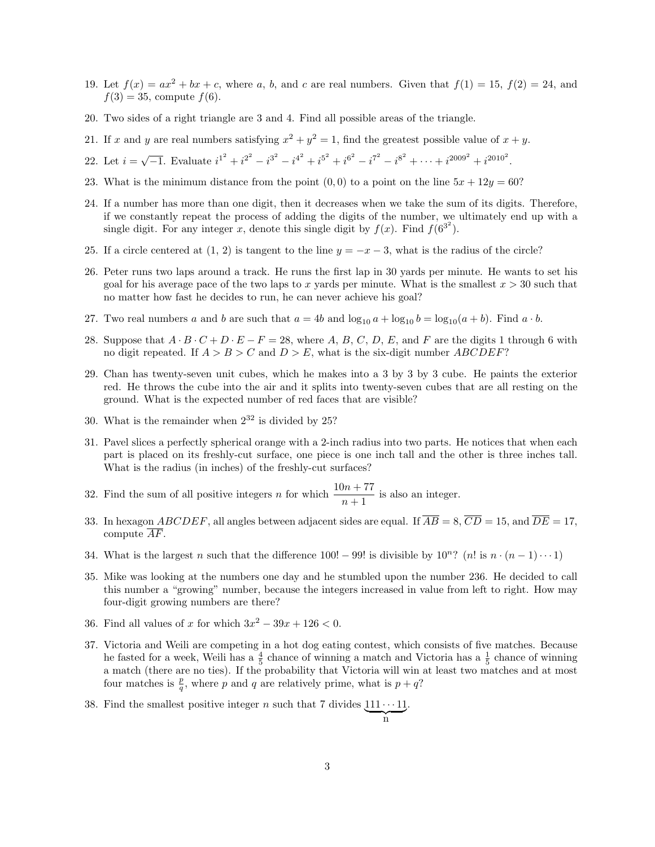- 19. Let  $f(x) = ax^2 + bx + c$ , where a, b, and c are real numbers. Given that  $f(1) = 15$ ,  $f(2) = 24$ , and  $f(3) = 35$ , compute  $f(6)$ .
- 20. Two sides of a right triangle are 3 and 4. Find all possible areas of the triangle.
- 21. If x and y are real numbers satisfying  $x^2 + y^2 = 1$ , find the greatest possible value of  $x + y$ .
- 22. Let  $i = \sqrt{-1}$ . Evaluate  $i^{1^2} + i^{2^2} i^{3^2} i^{4^2} + i^{5^2} + i^{6^2} i^{7^2} i^{8^2} + \cdots + i^{2009^2} + i^{2010^2}$ .
- 23. What is the minimum distance from the point  $(0, 0)$  to a point on the line  $5x + 12y = 60$ ?
- 24. If a number has more than one digit, then it decreases when we take the sum of its digits. Therefore, if we constantly repeat the process of adding the digits of the number, we ultimately end up with a single digit. For any integer x, denote this single digit by  $f(x)$ . Find  $f(6^{3^2})$ .
- 25. If a circle centered at  $(1, 2)$  is tangent to the line  $y = -x 3$ , what is the radius of the circle?
- 26. Peter runs two laps around a track. He runs the first lap in 30 yards per minute. He wants to set his goal for his average pace of the two laps to x yards per minute. What is the smallest  $x > 30$  such that no matter how fast he decides to run, he can never achieve his goal?
- 27. Two real numbers a and b are such that  $a = 4b$  and  $\log_{10} a + \log_{10} b = \log_{10}(a + b)$ . Find  $a \cdot b$ .
- 28. Suppose that  $A \cdot B \cdot C + D \cdot E F = 28$ , where A, B, C, D, E, and F are the digits 1 through 6 with no digit repeated. If  $A > B > C$  and  $D > E$ , what is the six-digit number ABCDEF?
- 29. Chan has twenty-seven unit cubes, which he makes into a 3 by 3 by 3 cube. He paints the exterior red. He throws the cube into the air and it splits into twenty-seven cubes that are all resting on the ground. What is the expected number of red faces that are visible?
- 30. What is the remainder when  $2^{32}$  is divided by 25?
- 31. Pavel slices a perfectly spherical orange with a 2-inch radius into two parts. He notices that when each part is placed on its freshly-cut surface, one piece is one inch tall and the other is three inches tall. What is the radius (in inches) of the freshly-cut surfaces?
- 32. Find the sum of all positive integers *n* for which  $\frac{10n + 77}{n + 1}$  is also an integer.
- 33. In hexagon  $ABCDEF$ , all angles between adjacent sides are equal. If  $\overline{AB} = 8$ ,  $\overline{CD} = 15$ , and  $\overline{DE} = 17$ , compute  $\overline{AF}$ .
- 34. What is the largest n such that the difference 100! 99! is divisible by  $10^n$ ? (n! is  $n \cdot (n-1) \cdot \cdot \cdot 1$ )
- 35. Mike was looking at the numbers one day and he stumbled upon the number 236. He decided to call this number a "growing" number, because the integers increased in value from left to right. How may four-digit growing numbers are there?
- 36. Find all values of x for which  $3x^2 39x + 126 < 0$ .
- 37. Victoria and Weili are competing in a hot dog eating contest, which consists of five matches. Because he fasted for a week, Weili has a  $\frac{4}{5}$  chance of winning a match and Victoria has a  $\frac{1}{5}$  chance of winning a match (there are no ties). If the probability that Victoria will win at least two matches and at most four matches is  $\frac{p}{q}$ , where p and q are relatively prime, what is  $p + q$ ?
- 38. Find the smallest positive integer n such that 7 divides  $111 \cdots 11$  $\sum_{n}$ .